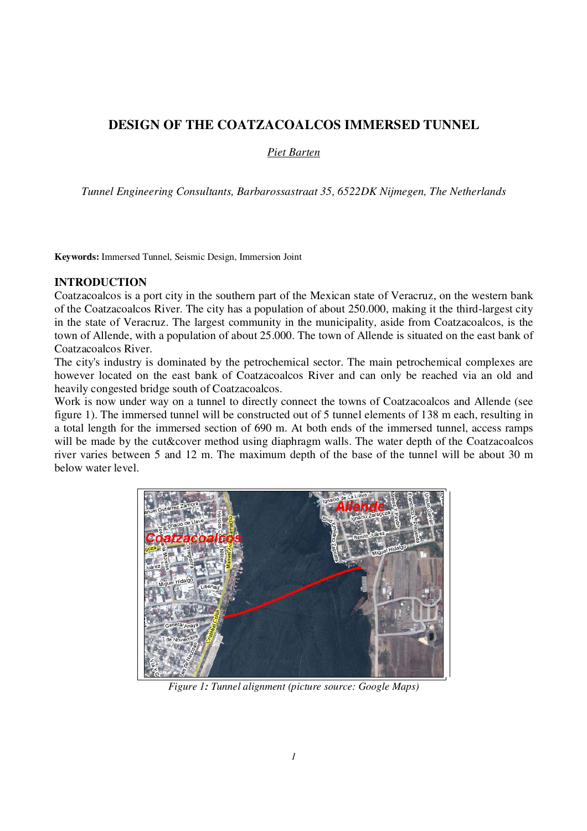# **DESIGN OF THE COATZACOALCOS IMMERSED TUNNEL**

## *Piet Barten*

*Tunnel Engineering Consultants, Barbarossastraat 35, 6522DK Nijmegen, The Netherlands* 

**Keywords:** Immersed Tunnel, Seismic Design, Immersion Joint

### **INTRODUCTION**

Coatzacoalcos is a port city in the southern part of the Mexican state of Veracruz, on the western bank of the Coatzacoalcos River. The city has a population of about 250.000, making it the third-largest city in the state of Veracruz. The largest community in the municipality, aside from Coatzacoalcos, is the town of Allende, with a population of about 25.000. The town of Allende is situated on the east bank of Coatzacoalcos River.

The city's industry is dominated by the petrochemical sector. The main petrochemical complexes are however located on the east bank of Coatzacoalcos River and can only be reached via an old and heavily congested bridge south of Coatzacoalcos.

Work is now under way on a tunnel to directly connect the towns of Coatzacoalcos and Allende (see figure 1). The immersed tunnel will be constructed out of 5 tunnel elements of 138 m each, resulting in a total length for the immersed section of 690 m. At both ends of the immersed tunnel, access ramps will be made by the cut&cover method using diaphragm walls. The water depth of the Coatzacoalcos river varies between 5 and 12 m. The maximum depth of the base of the tunnel will be about 30 m below water level.



*Figure 1: Tunnel alignment (picture source: Google Maps)*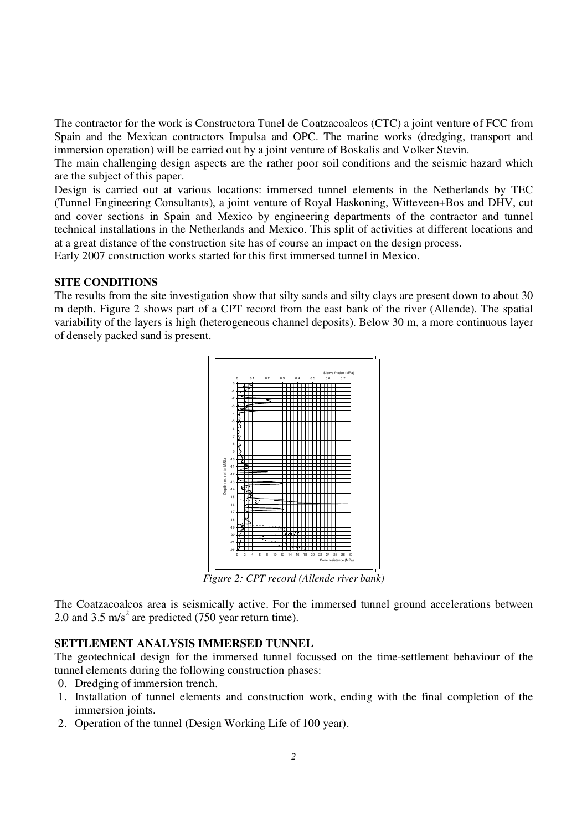The contractor for the work is Constructora Tunel de Coatzacoalcos (CTC) a joint venture of FCC from Spain and the Mexican contractors Impulsa and OPC. The marine works (dredging, transport and immersion operation) will be carried out by a joint venture of Boskalis and Volker Stevin.

The main challenging design aspects are the rather poor soil conditions and the seismic hazard which are the subject of this paper.

Design is carried out at various locations: immersed tunnel elements in the Netherlands by TEC (Tunnel Engineering Consultants), a joint venture of Royal Haskoning, Witteveen+Bos and DHV, cut and cover sections in Spain and Mexico by engineering departments of the contractor and tunnel technical installations in the Netherlands and Mexico. This split of activities at different locations and at a great distance of the construction site has of course an impact on the design process.

Early 2007 construction works started for this first immersed tunnel in Mexico.

#### **SITE CONDITIONS**

The results from the site investigation show that silty sands and silty clays are present down to about 30 m depth. Figure 2 shows part of a CPT record from the east bank of the river (Allende). The spatial variability of the layers is high (heterogeneous channel deposits). Below 30 m, a more continuous layer of densely packed sand is present.



*Figure 2: CPT record (Allende river bank)* 

The Coatzacoalcos area is seismically active. For the immersed tunnel ground accelerations between 2.0 and 3.5 m/s<sup>2</sup> are predicted (750 year return time).

## **SETTLEMENT ANALYSIS IMMERSED TUNNEL**

The geotechnical design for the immersed tunnel focussed on the time-settlement behaviour of the tunnel elements during the following construction phases:

- 0. Dredging of immersion trench.
- 1. Installation of tunnel elements and construction work, ending with the final completion of the immersion joints.
- 2. Operation of the tunnel (Design Working Life of 100 year).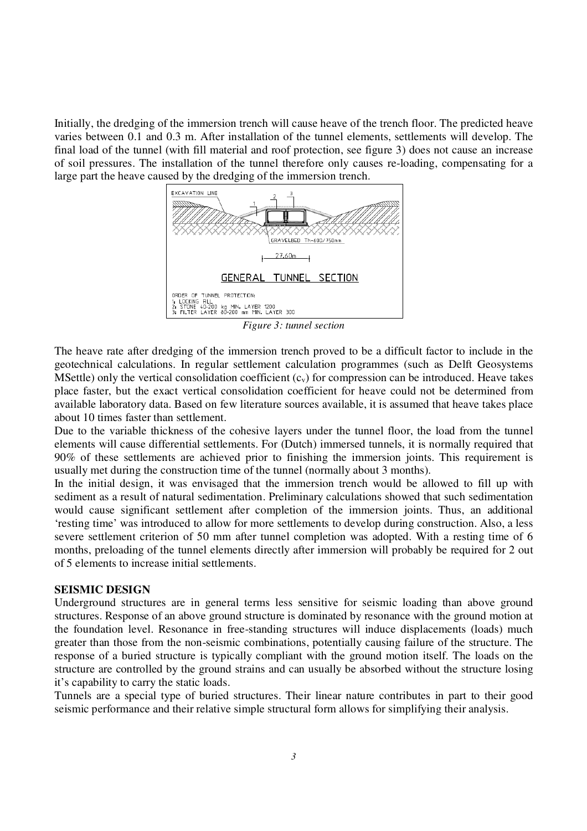Initially, the dredging of the immersion trench will cause heave of the trench floor. The predicted heave varies between 0.1 and 0.3 m. After installation of the tunnel elements, settlements will develop. The final load of the tunnel (with fill material and roof protection, see figure 3) does not cause an increase of soil pressures. The installation of the tunnel therefore only causes re-loading, compensating for a large part the heave caused by the dredging of the immersion trench.



*Figure 3: tunnel section* 

The heave rate after dredging of the immersion trench proved to be a difficult factor to include in the geotechnical calculations. In regular settlement calculation programmes (such as Delft Geosystems MSettle) only the vertical consolidation coefficient  $(c_v)$  for compression can be introduced. Heave takes place faster, but the exact vertical consolidation coefficient for heave could not be determined from available laboratory data. Based on few literature sources available, it is assumed that heave takes place about 10 times faster than settlement.

Due to the variable thickness of the cohesive layers under the tunnel floor, the load from the tunnel elements will cause differential settlements. For (Dutch) immersed tunnels, it is normally required that 90% of these settlements are achieved prior to finishing the immersion joints. This requirement is usually met during the construction time of the tunnel (normally about 3 months).

In the initial design, it was envisaged that the immersion trench would be allowed to fill up with sediment as a result of natural sedimentation. Preliminary calculations showed that such sedimentation would cause significant settlement after completion of the immersion joints. Thus, an additional 'resting time' was introduced to allow for more settlements to develop during construction. Also, a less severe settlement criterion of 50 mm after tunnel completion was adopted. With a resting time of 6 months, preloading of the tunnel elements directly after immersion will probably be required for 2 out of 5 elements to increase initial settlements.

### **SEISMIC DESIGN**

Underground structures are in general terms less sensitive for seismic loading than above ground structures. Response of an above ground structure is dominated by resonance with the ground motion at the foundation level. Resonance in free-standing structures will induce displacements (loads) much greater than those from the non-seismic combinations, potentially causing failure of the structure. The response of a buried structure is typically compliant with the ground motion itself. The loads on the structure are controlled by the ground strains and can usually be absorbed without the structure losing it's capability to carry the static loads.

Tunnels are a special type of buried structures. Their linear nature contributes in part to their good seismic performance and their relative simple structural form allows for simplifying their analysis.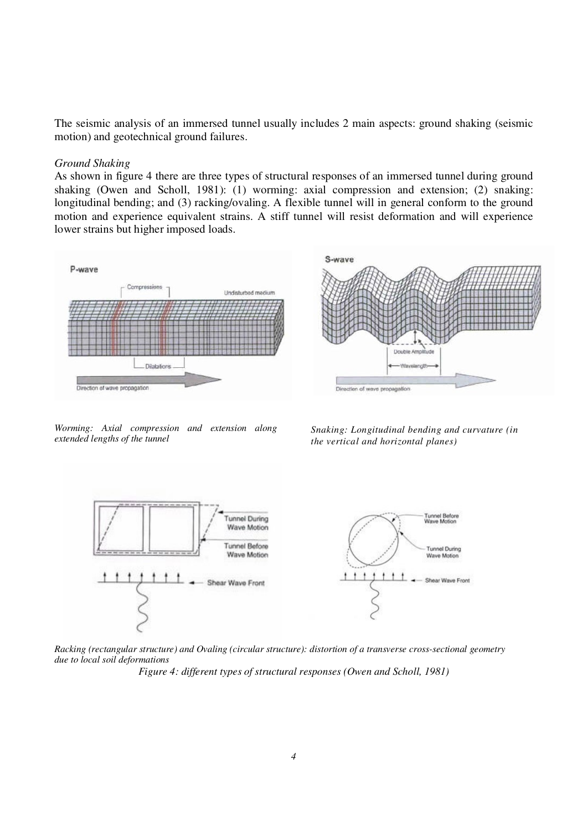The seismic analysis of an immersed tunnel usually includes 2 main aspects: ground shaking (seismic motion) and geotechnical ground failures.

#### *Ground Shaking*

As shown in figure 4 there are three types of structural responses of an immersed tunnel during ground shaking (Owen and Scholl, 1981): (1) worming: axial compression and extension; (2) snaking: longitudinal bending; and (3) racking/ovaling. A flexible tunnel will in general conform to the ground motion and experience equivalent strains. A stiff tunnel will resist deformation and will experience lower strains but higher imposed loads.



*Worming: Axial compression and extension along extended lengths of the tunnel* 



*Snaking: Longitudinal bending and curvature (in the vertical and horizontal planes)* 



*Racking (rectangular structure) and Ovaling (circular structure): distortion of a transverse cross-sectional geometry due to local soil deformations* 

*Figure 4: different types of structural responses (Owen and Scholl, 1981)*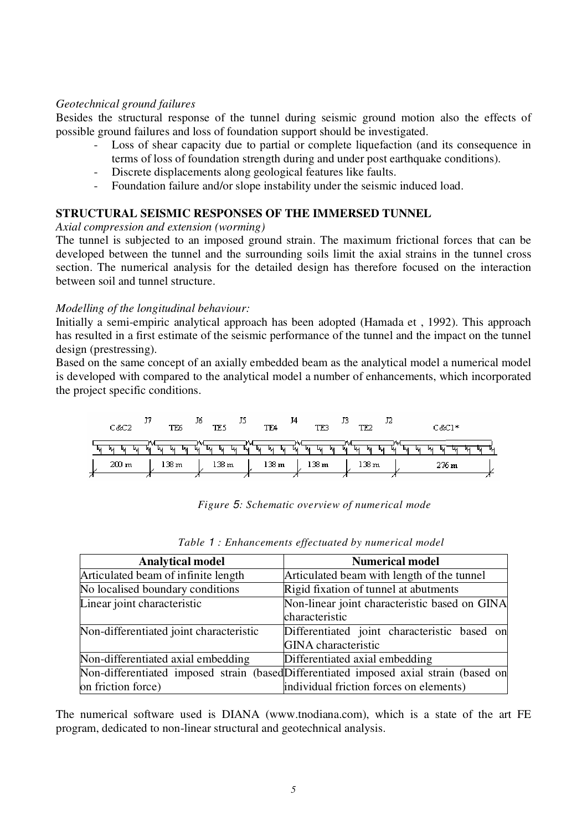# *Geotechnical ground failures*

Besides the structural response of the tunnel during seismic ground motion also the effects of possible ground failures and loss of foundation support should be investigated.

- Loss of shear capacity due to partial or complete liquefaction (and its consequence in terms of loss of foundation strength during and under post earthquake conditions).
- Discrete displacements along geological features like faults.
- Foundation failure and/or slope instability under the seismic induced load.

# **STRUCTURAL SEISMIC RESPONSES OF THE IMMERSED TUNNEL**

*Axial compression and extension (worming)* 

The tunnel is subjected to an imposed ground strain. The maximum frictional forces that can be developed between the tunnel and the surrounding soils limit the axial strains in the tunnel cross section. The numerical analysis for the detailed design has therefore focused on the interaction between soil and tunnel structure.

## *Modelling of the longitudinal behaviour:*

Initially a semi-empiric analytical approach has been adopted (Hamada et , 1992). This approach has resulted in a first estimate of the seismic performance of the tunnel and the impact on the tunnel design (prestressing).

Based on the same concept of an axially embedded beam as the analytical model a numerical model is developed with compared to the analytical model a number of enhancements, which incorporated the project specific conditions.



*Figure* 5*: Schematic overview of numerical mode* 

| <b>Analytical model</b>                 | <b>Numerical model</b>                                                                 |
|-----------------------------------------|----------------------------------------------------------------------------------------|
| Articulated beam of infinite length     | Articulated beam with length of the tunnel                                             |
| No localised boundary conditions        | Rigid fixation of tunnel at abutments                                                  |
| Linear joint characteristic             | Non-linear joint characteristic based on GINA                                          |
|                                         | characteristic                                                                         |
| Non-differentiated joint characteristic | Differentiated joint characteristic based on                                           |
|                                         | <b>GINA</b> characteristic                                                             |
| Non-differentiated axial embedding      | Differentiated axial embedding                                                         |
|                                         | Non-differentiated imposed strain (based Differentiated imposed axial strain (based on |
| on friction force)                      | individual friction forces on elements)                                                |

*Table* 1 *: Enhancements effectuated by numerical model* 

The numerical software used is DIANA (www.tnodiana.com), which is a state of the art FE program, dedicated to non-linear structural and geotechnical analysis.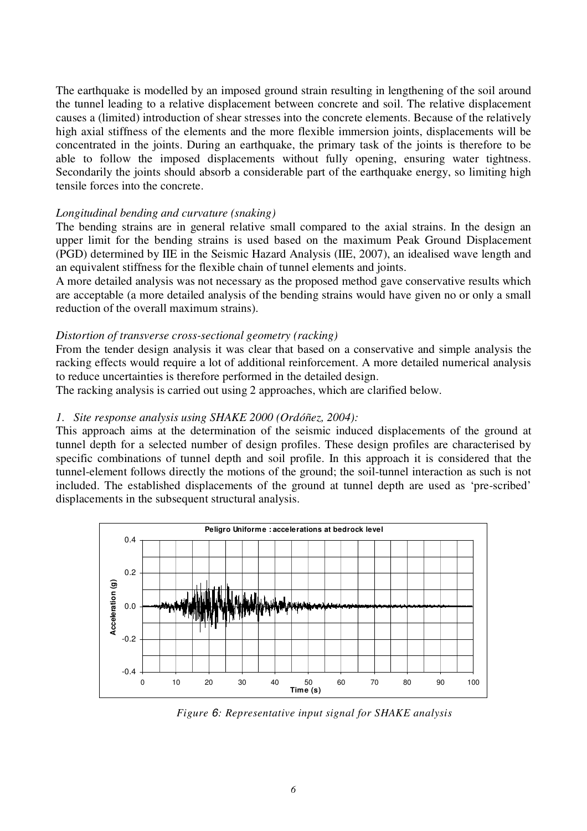The earthquake is modelled by an imposed ground strain resulting in lengthening of the soil around the tunnel leading to a relative displacement between concrete and soil. The relative displacement causes a (limited) introduction of shear stresses into the concrete elements. Because of the relatively high axial stiffness of the elements and the more flexible immersion joints, displacements will be concentrated in the joints. During an earthquake, the primary task of the joints is therefore to be able to follow the imposed displacements without fully opening, ensuring water tightness. Secondarily the joints should absorb a considerable part of the earthquake energy, so limiting high tensile forces into the concrete.

### *Longitudinal bending and curvature (snaking)*

The bending strains are in general relative small compared to the axial strains. In the design an upper limit for the bending strains is used based on the maximum Peak Ground Displacement (PGD) determined by IIE in the Seismic Hazard Analysis (IIE, 2007), an idealised wave length and an equivalent stiffness for the flexible chain of tunnel elements and joints.

A more detailed analysis was not necessary as the proposed method gave conservative results which are acceptable (a more detailed analysis of the bending strains would have given no or only a small reduction of the overall maximum strains).

## *Distortion of transverse cross-sectional geometry (racking)*

From the tender design analysis it was clear that based on a conservative and simple analysis the racking effects would require a lot of additional reinforcement. A more detailed numerical analysis to reduce uncertainties is therefore performed in the detailed design.

The racking analysis is carried out using 2 approaches, which are clarified below.

## *1. Site response analysis using SHAKE 2000 (Ordóñez, 2004):*

This approach aims at the determination of the seismic induced displacements of the ground at tunnel depth for a selected number of design profiles. These design profiles are characterised by specific combinations of tunnel depth and soil profile. In this approach it is considered that the tunnel-element follows directly the motions of the ground; the soil-tunnel interaction as such is not included. The established displacements of the ground at tunnel depth are used as 'pre-scribed' displacements in the subsequent structural analysis.



*Figure* 6*: Representative input signal for SHAKE analysis*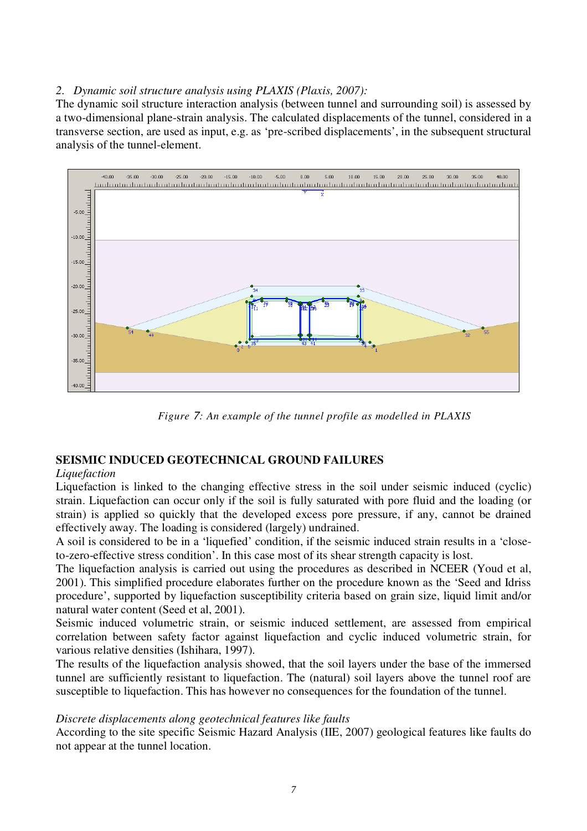# *2. Dynamic soil structure analysis using PLAXIS (Plaxis, 2007):*

The dynamic soil structure interaction analysis (between tunnel and surrounding soil) is assessed by a two-dimensional plane-strain analysis. The calculated displacements of the tunnel, considered in a transverse section, are used as input, e.g. as 'pre-scribed displacements', in the subsequent structural analysis of the tunnel-element.



*Figure* 7*: An example of the tunnel profile as modelled in PLAXIS* 

# **SEISMIC INDUCED GEOTECHNICAL GROUND FAILURES**

## *Liquefaction*

Liquefaction is linked to the changing effective stress in the soil under seismic induced (cyclic) strain. Liquefaction can occur only if the soil is fully saturated with pore fluid and the loading (or strain) is applied so quickly that the developed excess pore pressure, if any, cannot be drained effectively away. The loading is considered (largely) undrained.

A soil is considered to be in a 'liquefied' condition, if the seismic induced strain results in a 'closeto-zero-effective stress condition'. In this case most of its shear strength capacity is lost.

The liquefaction analysis is carried out using the procedures as described in NCEER (Youd et al, 2001). This simplified procedure elaborates further on the procedure known as the 'Seed and Idriss procedure', supported by liquefaction susceptibility criteria based on grain size, liquid limit and/or natural water content (Seed et al, 2001).

Seismic induced volumetric strain, or seismic induced settlement, are assessed from empirical correlation between safety factor against liquefaction and cyclic induced volumetric strain, for various relative densities (Ishihara, 1997).

The results of the liquefaction analysis showed, that the soil layers under the base of the immersed tunnel are sufficiently resistant to liquefaction. The (natural) soil layers above the tunnel roof are susceptible to liquefaction. This has however no consequences for the foundation of the tunnel.

## *Discrete displacements along geotechnical features like faults*

According to the site specific Seismic Hazard Analysis (IIE, 2007) geological features like faults do not appear at the tunnel location.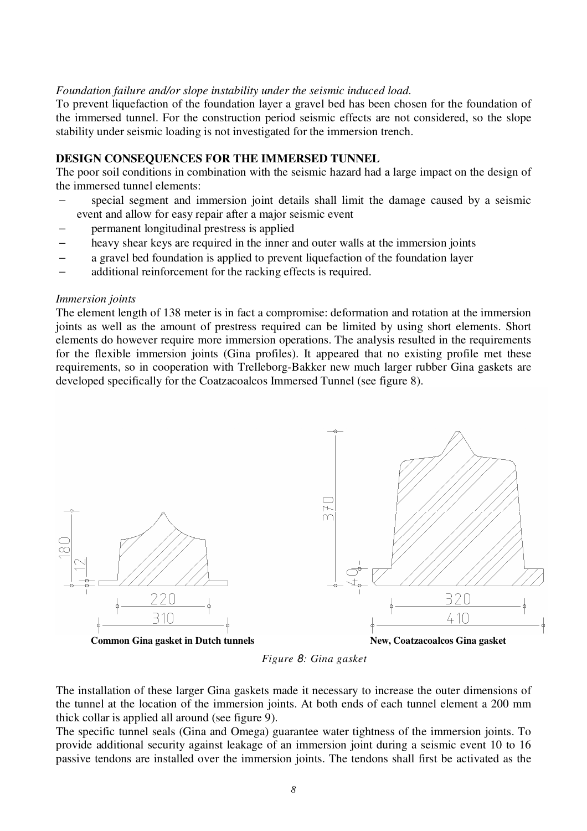## *Foundation failure and/or slope instability under the seismic induced load.*

To prevent liquefaction of the foundation layer a gravel bed has been chosen for the foundation of the immersed tunnel. For the construction period seismic effects are not considered, so the slope stability under seismic loading is not investigated for the immersion trench.

### **DESIGN CONSEQUENCES FOR THE IMMERSED TUNNEL**

The poor soil conditions in combination with the seismic hazard had a large impact on the design of the immersed tunnel elements:

- special segment and immersion joint details shall limit the damage caused by a seismic event and allow for easy repair after a major seismic event
- − permanent longitudinal prestress is applied
- heavy shear keys are required in the inner and outer walls at the immersion joints
- a gravel bed foundation is applied to prevent liquefaction of the foundation layer
- additional reinforcement for the racking effects is required.

### *Immersion joints*

The element length of 138 meter is in fact a compromise: deformation and rotation at the immersion joints as well as the amount of prestress required can be limited by using short elements. Short elements do however require more immersion operations. The analysis resulted in the requirements for the flexible immersion joints (Gina profiles). It appeared that no existing profile met these requirements, so in cooperation with Trelleborg-Bakker new much larger rubber Gina gaskets are developed specifically for the Coatzacoalcos Immersed Tunnel (see figure 8).



*Figure* 8*: Gina gasket* 

The installation of these larger Gina gaskets made it necessary to increase the outer dimensions of the tunnel at the location of the immersion joints. At both ends of each tunnel element a 200 mm thick collar is applied all around (see figure 9).

The specific tunnel seals (Gina and Omega) guarantee water tightness of the immersion joints. To provide additional security against leakage of an immersion joint during a seismic event 10 to 16 passive tendons are installed over the immersion joints. The tendons shall first be activated as the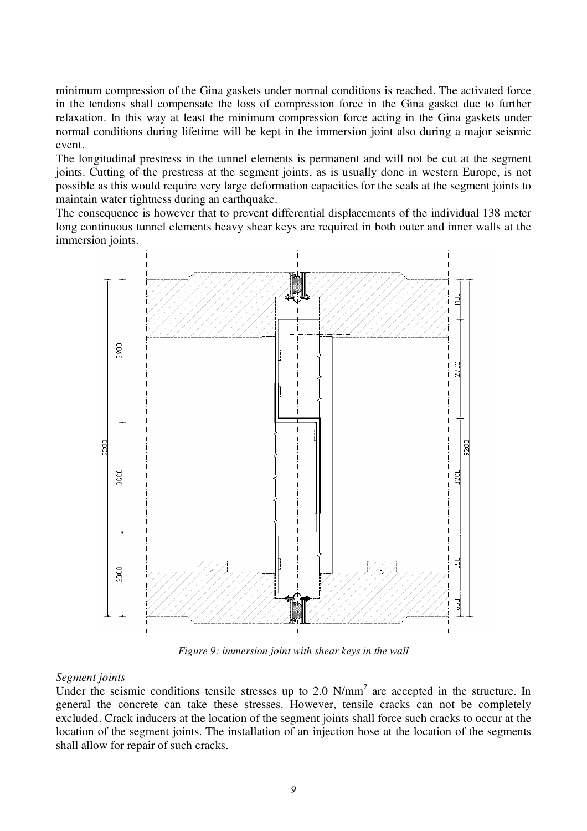minimum compression of the Gina gaskets under normal conditions is reached. The activated force in the tendons shall compensate the loss of compression force in the Gina gasket due to further relaxation. In this way at least the minimum compression force acting in the Gina gaskets under normal conditions during lifetime will be kept in the immersion joint also during a major seismic event.

The longitudinal prestress in the tunnel elements is permanent and will not be cut at the segment joints. Cutting of the prestress at the segment joints, as is usually done in western Europe, is not possible as this would require very large deformation capacities for the seals at the segment joints to maintain water tightness during an earthquake.

The consequence is however that to prevent differential displacements of the individual 138 meter long continuous tunnel elements heavy shear keys are required in both outer and inner walls at the immersion joints.



*Figure 9: immersion joint with shear keys in the wall* 

## *Segment joints*

Under the seismic conditions tensile stresses up to 2.0  $N/mm^2$  are accepted in the structure. In general the concrete can take these stresses. However, tensile cracks can not be completely excluded. Crack inducers at the location of the segment joints shall force such cracks to occur at the location of the segment joints. The installation of an injection hose at the location of the segments shall allow for repair of such cracks.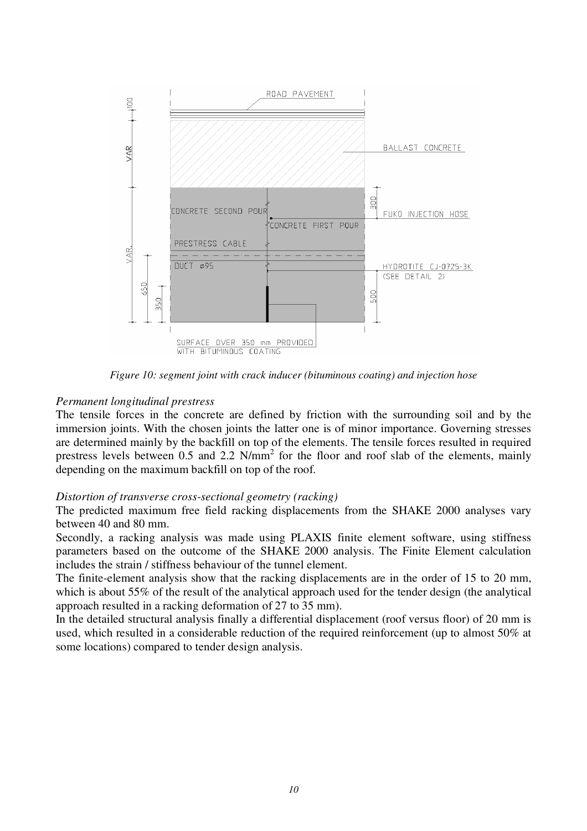

*Figure 10: segment joint with crack inducer (bituminous coating) and injection hose* 

## *Permanent longitudinal prestress*

The tensile forces in the concrete are defined by friction with the surrounding soil and by the immersion joints. With the chosen joints the latter one is of minor importance. Governing stresses are determined mainly by the backfill on top of the elements. The tensile forces resulted in required prestress levels between  $0.5$  and  $2.2$  N/mm<sup>2</sup> for the floor and roof slab of the elements, mainly depending on the maximum backfill on top of the roof.

### *Distortion of transverse cross-sectional geometry (racking)*

The predicted maximum free field racking displacements from the SHAKE 2000 analyses vary between 40 and 80 mm.

Secondly, a racking analysis was made using PLAXIS finite element software, using stiffness parameters based on the outcome of the SHAKE 2000 analysis. The Finite Element calculation includes the strain / stiffness behaviour of the tunnel element.

The finite-element analysis show that the racking displacements are in the order of 15 to 20 mm, which is about 55% of the result of the analytical approach used for the tender design (the analytical approach resulted in a racking deformation of 27 to 35 mm).

In the detailed structural analysis finally a differential displacement (roof versus floor) of 20 mm is used, which resulted in a considerable reduction of the required reinforcement (up to almost 50% at some locations) compared to tender design analysis.